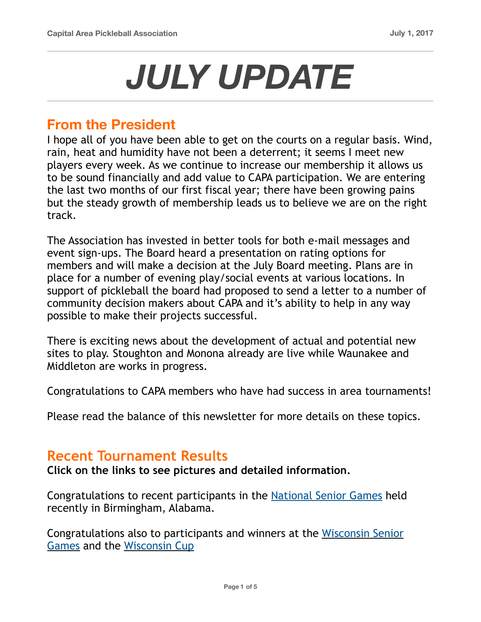# *JULY UPDATE*

#### **From the President**

I hope all of you have been able to get on the courts on a regular basis. Wind, rain, heat and humidity have not been a deterrent; it seems I meet new players every week. As we continue to increase our membership it allows us to be sound financially and add value to CAPA participation. We are entering the last two months of our first fiscal year; there have been growing pains but the steady growth of membership leads us to believe we are on the right track.

The Association has invested in better tools for both e-mail messages and event sign-ups. The Board heard a presentation on rating options for members and will make a decision at the July Board meeting. Plans are in place for a number of evening play/social events at various locations. In support of pickleball the board had proposed to send a letter to a number of community decision makers about CAPA and it's ability to help in any way possible to make their projects successful.

There is exciting news about the development of actual and potential new sites to play. Stoughton and Monona already are live while Waunakee and Middleton are works in progress.

Congratulations to CAPA members who have had success in area tournaments!

Please read the balance of this newsletter for more details on these topics.

#### **Recent Tournament Results**

**Click on the links to see pictures and detailed information.**

Congratulations to recent participants in the [National Senior Games](https://www.capareapb.com/2017-national-senior-games) held recently in Birmingham, Alabama.

Congratulations also to participants and winners at the [Wisconsin Senior](https://docs.wixstatic.com/ugd/ae18de_30ef33d62a8640b9b51b69150e0e1ab7.pdf)  [Games](https://docs.wixstatic.com/ugd/ae18de_30ef33d62a8640b9b51b69150e0e1ab7.pdf) and the [Wisconsin Cup](https://docs.wixstatic.com/ugd/ae18de_bb0d376902f140cb805069019308d54f.pdf)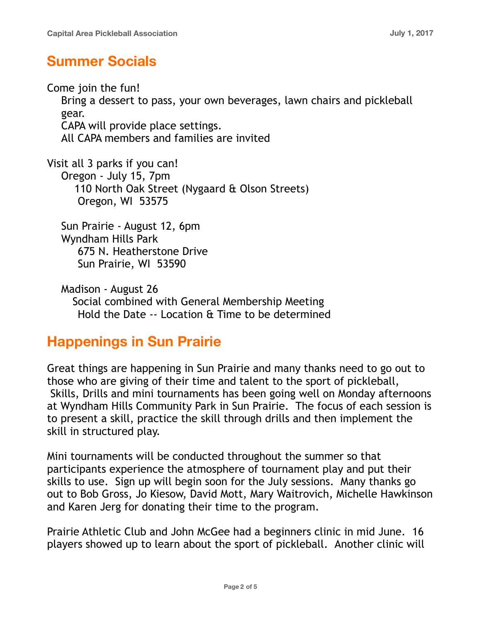## **Summer Socials**

Come join the fun! Bring a dessert to pass, your own beverages, lawn chairs and pickleball gear. CAPA will provide place settings. All CAPA members and families are invited

Visit all 3 parks if you can! Oregon - July 15, 7pm 110 North Oak Street (Nygaard & Olson Streets) Oregon, WI 53575

Sun Prairie - August 12, 6pm Wyndham Hills Park 675 N. Heatherstone Drive Sun Prairie, WI 53590

Madison - August 26 Social combined with General Membership Meeting Hold the Date -- Location & Time to be determined

## **Happenings in Sun Prairie**

Great things are happening in Sun Prairie and many thanks need to go out to those who are giving of their time and talent to the sport of pickleball, Skills, Drills and mini tournaments has been going well on Monday afternoons at Wyndham Hills Community Park in Sun Prairie. The focus of each session is to present a skill, practice the skill through drills and then implement the skill in structured play.

Mini tournaments will be conducted throughout the summer so that participants experience the atmosphere of tournament play and put their skills to use. Sign up will begin soon for the July sessions. Many thanks go out to Bob Gross, Jo Kiesow, David Mott, Mary Waitrovich, Michelle Hawkinson and Karen Jerg for donating their time to the program.

Prairie Athletic Club and John McGee had a beginners clinic in mid June. 16 players showed up to learn about the sport of pickleball. Another clinic will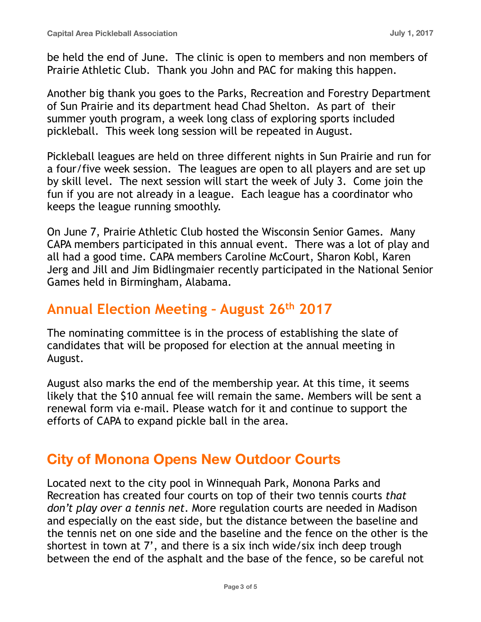be held the end of June. The clinic is open to members and non members of Prairie Athletic Club. Thank you John and PAC for making this happen.

Another big thank you goes to the Parks, Recreation and Forestry Department of Sun Prairie and its department head Chad Shelton. As part of their summer youth program, a week long class of exploring sports included pickleball. This week long session will be repeated in August.

Pickleball leagues are held on three different nights in Sun Prairie and run for a four/five week session. The leagues are open to all players and are set up by skill level. The next session will start the week of July 3. Come join the fun if you are not already in a league. Each league has a coordinator who keeps the league running smoothly.

On June 7, Prairie Athletic Club hosted the Wisconsin Senior Games. Many CAPA members participated in this annual event. There was a lot of play and all had a good time. CAPA members Caroline McCourt, Sharon Kobl, Karen Jerg and Jill and Jim Bidlingmaier recently participated in the National Senior Games held in Birmingham, Alabama.

#### **Annual Election Meeting – August 26th 2017**

The nominating committee is in the process of establishing the slate of candidates that will be proposed for election at the annual meeting in August.

August also marks the end of the membership year. At this time, it seems likely that the \$10 annual fee will remain the same. Members will be sent a renewal form via e-mail. Please watch for it and continue to support the efforts of CAPA to expand pickle ball in the area.

#### **City of Monona Opens New Outdoor Courts**

Located next to the city pool in Winnequah Park, Monona Parks and Recreation has created four courts on top of their two tennis courts *that don't play over a tennis net*. More regulation courts are needed in Madison and especially on the east side, but the distance between the baseline and the tennis net on one side and the baseline and the fence on the other is the shortest in town at 7', and there is a six inch wide/six inch deep trough between the end of the asphalt and the base of the fence, so be careful not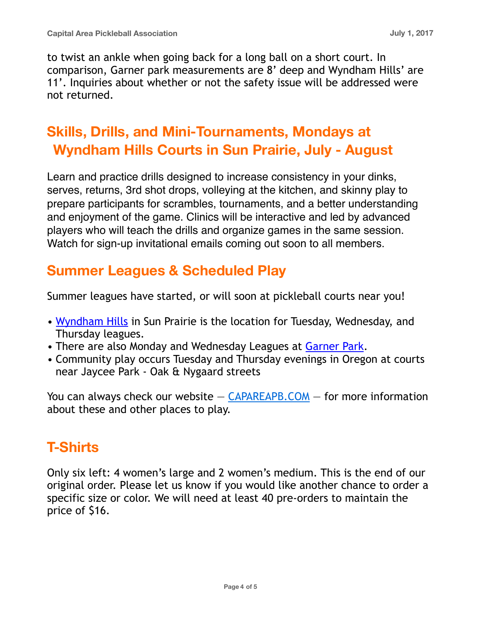to twist an ankle when going back for a long ball on a short court. In comparison, Garner park measurements are 8' deep and Wyndham Hills' are 11'. Inquiries about whether or not the safety issue will be addressed were not returned.

# **Skills, Drills, and Mini-Tournaments, Mondays at Wyndham Hills Courts in Sun Prairie, July - August**

Learn and practice drills designed to increase consistency in your dinks, serves, returns, 3rd shot drops, volleying at the kitchen, and skinny play to prepare participants for scrambles, tournaments, and a better understanding and enjoyment of the game. Clinics will be interactive and led by advanced players who will teach the drills and organize games in the same session. Watch for sign-up invitational emails coming out soon to all members.

## **Summer Leagues & Scheduled Play**

Summer leagues have started, or will soon at pickleball courts near you!

- [Wyndham Hills](https://www.cityofsunprairie.com/DocumentCenter/View/5139) in Sun Prairie is the location for Tuesday, Wednesday, and Thursday leagues.
- There are also Monday and Wednesday Leagues at [Garner Park](https://www.capareapb.com/leagues).
- Community play occurs Tuesday and Thursday evenings in Oregon at courts near Jaycee Park - Oak & Nygaard streets

You can always check our website  $-$  [CAPAREAPB.COM](http://capareapb.com/)  $-$  for more information about these and other places to play.

# **T-Shirts**

Only six left: 4 women's large and 2 women's medium. This is the end of our original order. Please let us know if you would like another chance to order a specific size or color. We will need at least 40 pre-orders to maintain the price of \$16.